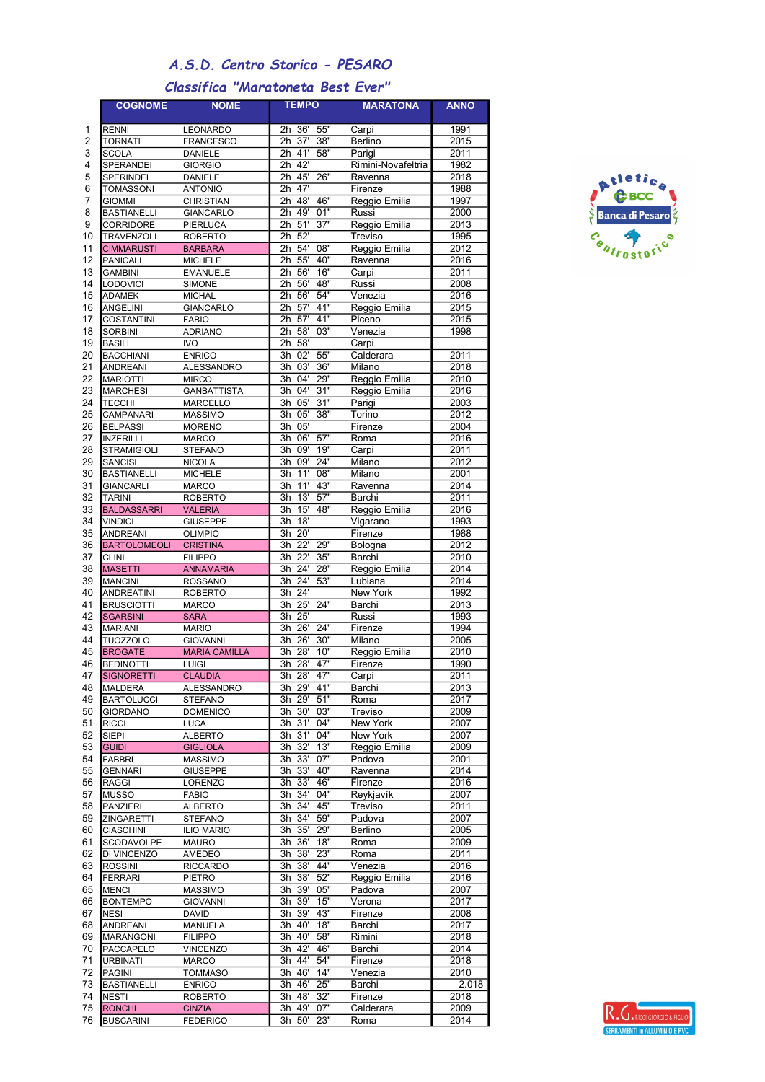## A.S.D. Centro Storico - PESARO

## Classifica "Maratoneta Best Ever"

|                     | <b>COGNOME</b>                         | <b>NOME</b>                       | <b>TEMPO</b>                                      | <b>MARATONA</b>         | <b>ANNO</b>       |
|---------------------|----------------------------------------|-----------------------------------|---------------------------------------------------|-------------------------|-------------------|
| 1                   | <b>RENNI</b>                           | LEONARDO                          | 2h 36'<br>55"                                     | Carpi                   | 1991              |
| 2                   | <b>TORNATI</b>                         | <b>FRANCESCO</b>                  | $\overline{2h}$<br>$\overline{37}$<br>38"         | Berlino                 | 2015              |
| 3                   | <b>SCOLA</b>                           | <b>DANIELE</b>                    | $2h$ 41'<br>58"                                   | Parigi                  | 2011              |
| 4                   | SPERANDEI                              | <b>GIORGIO</b>                    | 2h 42'                                            | Rimini-Novafeltria      | 1982              |
| 5                   | <b>SPERINDEI</b>                       | <b>DANIELE</b>                    | 45'<br>26"<br>2h                                  | Ravenna                 | 2018              |
| 6                   | <b>TOMASSONI</b>                       | <b>ANTONIO</b>                    | 47'<br>2h                                         | Firenze                 | 1988              |
| $\overline{7}$<br>8 | <b>GIOMMI</b><br><b>BASTIANELLI</b>    | <b>CHRISTIAN</b>                  | 46"<br>48'<br>2h<br>$\overline{2h}$<br>49'<br>01" | Reggio Emilia<br>Russi  | 1997<br>2000      |
| 9                   | <b>CORRIDORE</b>                       | <b>GIANCARLO</b><br>PIERLUCA      | 51'<br>37"<br>2h                                  | Reggio Emilia           | 2013              |
| 10                  | <b>TRAVENZOLI</b>                      | <b>ROBERTO</b>                    | 52'<br>2 <sub>h</sub>                             | Treviso                 | 1995              |
| 11                  | <b>CIMMARUSTI</b>                      | <b>BARBARA</b>                    | 08"<br>2h<br>54'                                  | Reggio Emilia           | 2012              |
| 12                  | <b>PANICALI</b>                        | <b>MICHELE</b>                    | 55'<br>40"<br>2h                                  | Ravenna                 | 2016              |
| 13                  | <b>GAMBINI</b>                         | <b>EMANUELE</b>                   | 56'<br>16"<br>2h                                  | Carpi                   | 2011              |
| 14                  | <b>LODOVICI</b>                        | <b>SIMONE</b>                     | $\overline{2h}$<br>56'<br>48"                     | Russi                   | 2008              |
| 15<br>16            | <b>ADAMEK</b><br><b>ANGELINI</b>       | <b>MICHAL</b><br><b>GIANCARLO</b> | 56'<br>54"<br>2h<br>57'<br>41"<br>2 <sub>h</sub>  | Venezia                 | 2016<br>2015      |
| 17                  | <b>COSTANTINI</b>                      | <b>FABIO</b>                      | 2h<br>57'<br>41"                                  | Reggio Emilia<br>Piceno | 2015              |
| 18                  | <b>SORBINI</b>                         | <b>ADRIANO</b>                    | 03"<br>2h<br>58'                                  | Venezia                 | 1998              |
| 19                  | <b>BASILI</b>                          | <b>IVO</b>                        | $\overline{2h}$<br>58'                            | Carpi                   |                   |
| 20                  | <b>BACCHIANI</b>                       | <b>ENRICO</b>                     | $\overline{55}$ "<br>02'<br>3h                    | Calderara               | 2011              |
| 21                  | <b>ANDREANI</b>                        | <b>ALESSANDRO</b>                 | 3h<br>03'<br>36"                                  | Milano                  | 2018              |
| 22                  | <b>MARIOTTI</b>                        | <b>MIRCO</b>                      | 04'<br>3h<br>29"                                  | Reggio Emilia           | 2010              |
| 23<br>24            | <b>MARCHESI</b>                        | <b>GANBATTISTA</b>                | 3h<br>04'<br>31"                                  | Reggio Emilia           | 2016              |
| 25                  | <b>TECCHI</b><br><b>CAMPANARI</b>      | <b>MARCELLO</b><br><b>MASSIMO</b> | 3h<br>05'<br>31"<br>$\overline{3h}$<br>05'<br>38" | Parigi<br>Torino        | 2003<br>2012      |
| 26                  | <b>BELPASSI</b>                        | <b>MORENO</b>                     | 3h<br>05'                                         | Firenze                 | 2004              |
| 27                  | <b>INZERILLI</b>                       | <b>MARCO</b>                      | 57"<br>3h<br>06'                                  | Roma                    | 2016              |
| 28                  | <b>STRAMIGIOLI</b>                     | <b>STEFANO</b>                    | 19"<br>3h<br>09'                                  | Carpi                   | 2011              |
| 29                  | <b>SANCISI</b>                         | <b>NICOLA</b>                     | 3h<br>09'<br>24"                                  | Milano                  | 2012              |
| 30                  | <b>BASTIANELLI</b>                     | <b>MICHELE</b>                    | $\overline{3h}$<br>11'<br>08"                     | Milano                  | 2001              |
| 31                  | <b>GIANCARLI</b>                       | <b>MARCO</b>                      | $\overline{3h}$<br>11'<br>43"                     | Ravenna                 | $\overline{2014}$ |
| 32<br>33            | <b>TARINI</b><br><b>BALDASSARRI</b>    | <b>ROBERTO</b>                    | 57"<br>$\overline{3h}$<br>13'<br>15'<br>48"<br>3h | Barchi<br>Reggio Emilia | 2011<br>2016      |
| 34                  | <b>VINDICI</b>                         | <b>VALERIA</b><br><b>GIUSEPPE</b> | $\overline{3h}$<br>18'                            | Vigarano                | 1993              |
| 35                  | <b>ANDREANI</b>                        | <b>OLIMPIO</b>                    | 3h 20'                                            | Firenze                 | 1988              |
| 36                  | <b>BARTOLOMEOLI</b>                    | <b>CRISTINA</b>                   | 22'<br>29"<br>3h                                  | Bologna                 | 2012              |
| 37                  | <b>CLINI</b>                           | <b>FILIPPO</b>                    | $\overline{22}$<br>3h<br>35"                      | Barchi                  | 2010              |
| 38                  | <b>MASETTI</b>                         | <b>ANNAMARIA</b>                  | $\overline{3h}$<br>24'<br>28"                     | Reggio Emilia           | 2014              |
| 39                  | <b>MANCINI</b>                         | <b>ROSSANO</b>                    | $\overline{3h}$<br>$\overline{24}$<br>53"         | Lubiana                 | 2014              |
| 40<br>41            | <b>ANDREATINI</b><br><b>BRUSCIOTTI</b> | <b>ROBERTO</b><br><b>MARCO</b>    | 3h 24'<br>$\overline{3h}$<br>25'<br>24"           | New York<br>Barchi      | 1992<br>2013      |
| 42                  | <b>SGARSINI</b>                        | <b>SARA</b>                       | $\overline{3h}$<br>25'                            | Russi                   | 1993              |
| 43                  | <b>MARIANI</b>                         | <b>MARIO</b>                      | 3h<br>26'<br>24"                                  | Firenze                 | 1994              |
| 44                  | <b>TUOZZOLO</b>                        | <b>GIOVANNI</b>                   | $\overline{3h}$<br>$\overline{26}$<br>30"         | Milano                  | 2005              |
| 45                  | <b>BROGATE</b>                         | <b>MARIA CAMILLA</b>              | 28'<br>$\overline{3h}$<br>10"                     | Reggio Emilia           | $\frac{1}{2010}$  |
| 46<br>47            | <b>BEDINOTTI</b><br><b>SIGNORETTI</b>  | <b>LUIGI</b><br><b>CLAUDIA</b>    | 3h 28'<br>47"<br>47"<br>$3h$ $28'$                | Firenze<br>Carpi        | 1990<br>2011      |
| 48                  | <b>MALDERA</b>                         | <b>ALESSANDRO</b>                 | 3h 29'<br>41"                                     | Barchi                  | 2013              |
| 49                  | <b>BARTOLUCCI</b>                      | <b>STEFANO</b>                    | 51"<br>3h 29'                                     | Roma                    | 2017              |
| 50                  | <b>GIORDANO</b>                        | <b>DOMENICO</b>                   | 3h 30'<br>03"                                     | Treviso                 | 2009              |
| 51                  | <b>RICCI</b>                           | <b>LUCA</b>                       | 3h 31'<br>04"                                     | New York                | 2007              |
| 52                  | <b>SIEPI</b>                           | <b>ALBERTO</b>                    | 3h 31'<br>04"                                     | New York                | 2007              |
| 53<br>54            | <b>GUIDI</b><br><b>FABBRI</b>          | <b>GIGLIOLA</b><br><b>MASSIMO</b> | 3h 32'<br>13"<br>3h 33'<br>07"                    | Reggio Emilia<br>Padova | 2009<br>2001      |
| 55                  | <b>GENNARI</b>                         | <b>GIUSEPPE</b>                   | 3h<br>33'<br>40"                                  | Ravenna                 | 2014              |
| 56                  | <b>RAGGI</b>                           | LORENZO                           | 33'<br>3h<br>46"                                  | Firenze                 | 2016              |
| 57                  | <b>MUSSO</b>                           | <b>FABIO</b>                      | 3h 34'<br>04"                                     | Reykjavík               | 2007              |
| 58                  | <b>PANZIERI</b>                        | <b>ALBERTO</b>                    | 3h 34'<br>45"                                     | Treviso                 | 2011              |
| 59                  | <b>ZINGARETTI</b>                      | <b>STEFANO</b>                    | 3h 34'<br>59"                                     | Padova                  | 2007              |
| 60<br>61            | <b>CIASCHINI</b><br><b>SCODAVOLPE</b>  | <b>ILIO MARIO</b><br><b>MAURO</b> | 3h 35'<br>29"<br>3h 36'<br>18"                    | Berlino<br>Roma         | 2005<br>2009      |
| 62                  | DI VINCENZO                            | AMEDEO                            | 3h 38'<br>23"                                     | Roma                    | 2011              |
| 63                  | <b>ROSSINI</b>                         | <b>RICCARDO</b>                   | 3h 38'<br>44"                                     | Venezia                 | 2016              |
| 64                  | <b>FERRARI</b>                         | PIETRO                            | 3h 38'<br>52"                                     | Reggio Emilia           | 2016              |
| 65                  | <b>MENCI</b>                           | <b>MASSIMO</b>                    | 3h 39'<br>05"                                     | Padova                  | 2007              |
| 66                  | <b>BONTEMPO</b>                        | <b>GIOVANNI</b>                   | 3h 39'<br>15"<br>3h<br>39'<br>43"                 | Verona                  | 2017<br>2008      |
| 67<br>68            | <b>NESI</b><br><b>ANDREANI</b>         | <b>DAVID</b><br><b>MANUELA</b>    | 18"<br>3h 40'                                     | Firenze<br>Barchi       | 2017              |
| 69                  | <b>MARANGONI</b>                       | <b>FILIPPO</b>                    | 3h 40'<br>58"                                     | Rimini                  | $\frac{1}{2018}$  |
| 70                  | PACCAPELO                              | <b>VINCENZO</b>                   | 3h 42'<br>46"                                     | Barchi                  | 2014              |
| 71                  | <b>URBINATI</b>                        | <b>MARCO</b>                      | 3h 44'<br>54"                                     | Firenze                 | 2018              |
| 72                  | <b>PAGINI</b>                          | <b>TOMMASO</b>                    | 3h 46'<br>14"                                     | Venezia                 | 2010              |
| 73<br>74            | <b>BASTIANELLI</b><br><b>NESTI</b>     | <b>ENRICO</b><br><b>ROBERTO</b>   | 3h 46'<br>25"<br>3h 48'<br>32"                    | Barchi<br>Firenze       | 2.018<br>2018     |
| 75                  | <b>RONCHI</b>                          | <b>CINZIA</b>                     | 07"<br>3h 49'                                     | Calderara               | 2009              |
| 76                  | <b>BUSCARINI</b>                       | <b>FEDERICO</b>                   | 3h 50'<br>23"                                     | Roma                    | 2014              |